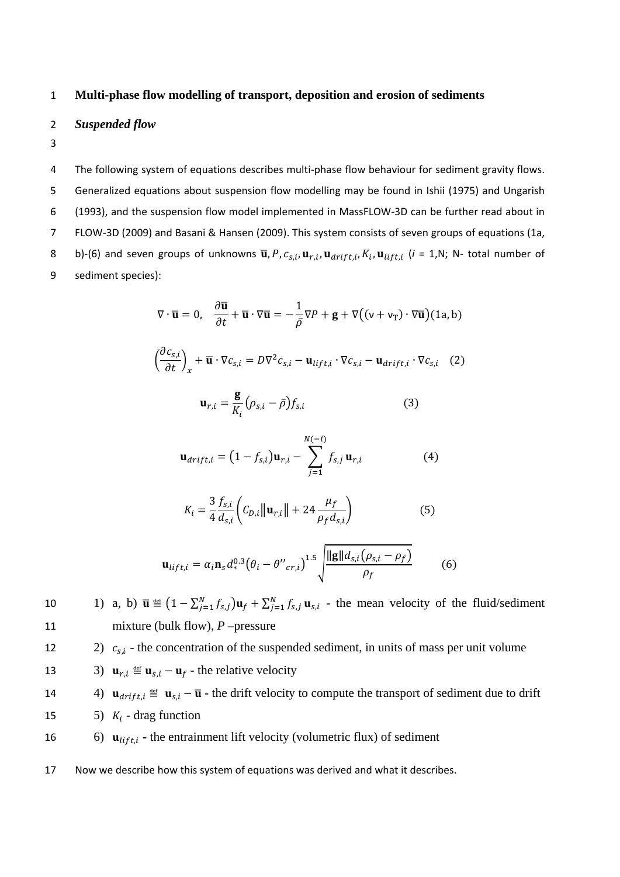## 1 **Multi-phase flow modelling of transport, deposition and erosion of sediments**

## 2 *Suspended flow*

3

 The following system of equations describes multi‐phase flow behaviour for sediment gravity flows. Generalized equations about suspension flow modelling may be found in Ishii (1975) and Ungarish (1993), and the suspension flow model implemented in MassFLOW‐3D can be further read about in FLOW‐3D (2009) and Basani & Hansen (2009). This system consists of seven groups of equations (1a, 8 b)-(6) and seven groups of unknowns  $\overline{\mathbf{u}}$ ,  $P$ ,  $c_{s,i}$ ,  $\mathbf{u}_{r,i}$ ,  $\mathbf{u}_{drift,i}$ ,  $K_i$ ,  $\mathbf{u}_{lift,i}$  ( $i = 1$ , N; N- total number of sediment species):

$$
\nabla \cdot \overline{\mathbf{u}} = 0, \quad \frac{\partial \overline{\mathbf{u}}}{\partial t} + \overline{\mathbf{u}} \cdot \nabla \overline{\mathbf{u}} = -\frac{1}{\overline{\rho}} \nabla P + \mathbf{g} + \nabla \big( (\mathbf{v} + \mathbf{v}_T) \cdot \nabla \overline{\mathbf{u}} \big) (1a, b)
$$

$$
\left(\frac{\partial c_{s,i}}{\partial t}\right)_x + \overline{\mathbf{u}} \cdot \nabla c_{s,i} = D \nabla^2 c_{s,i} - \mathbf{u}_{lift,i} \cdot \nabla c_{s,i} - \mathbf{u}_{drift,i} \cdot \nabla c_{s,i} \quad (2)
$$

$$
\mathbf{u}_{r,i} = \frac{\mathbf{S}}{K_i} \left( \rho_{s,i} - \bar{\rho} \right) f_{s,i} \tag{3}
$$

$$
\mathbf{u}_{drift,i} = (1 - f_{s,i})\mathbf{u}_{r,i} - \sum_{j=1}^{N(-i)} f_{s,j} \mathbf{u}_{r,i}
$$
(4)

$$
K_{i} = \frac{3}{4} \frac{f_{s,i}}{d_{s,i}} \left( C_{D,i} ||\mathbf{u}_{r,i}|| + 24 \frac{\mu_{f}}{\rho_{f} d_{s,i}} \right)
$$
(5)

$$
\mathbf{u}_{lift,i} = \alpha_i \mathbf{n}_s d_*^{0.3} (\theta_i - \theta''_{cr,i})^{1.5} \sqrt{\frac{\|\mathbf{g}\| d_{s,i} (\rho_{s,i} - \rho_f)}{\rho_f}}
$$
(6)

10 1) a, b)  $\bar{\mathbf{u}} \equiv (1 - \sum_{j=1}^{N} f_{s,j}) \mathbf{u}_f + \sum_{j=1}^{N} f_{s,j} \mathbf{u}_{s,i}$  - the mean velocity of the fluid/sediment 11 mixture (bulk flow), *P* –pressure

2)  $c_{s,i}$  - the concentration of the suspended sediment, in units of mass per unit volume

- 13 3)  $\mathbf{u}_{r,i} \stackrel{\text{def}}{=} \mathbf{u}_{s,i} \mathbf{u}_f$  the relative velocity
- 14 4)  $\mathbf{u}_{drift,i} \triangleq \mathbf{u}_{s,i} \overline{\mathbf{u}}$  the drift velocity to compute the transport of sediment due to drift 15  $5)$   $K_i$  - drag function
- 16  $\mathbf{u}_{lift,i}$  the entrainment lift velocity (volumetric flux) of sediment
- 17 Now we describe how this system of equations was derived and what it describes.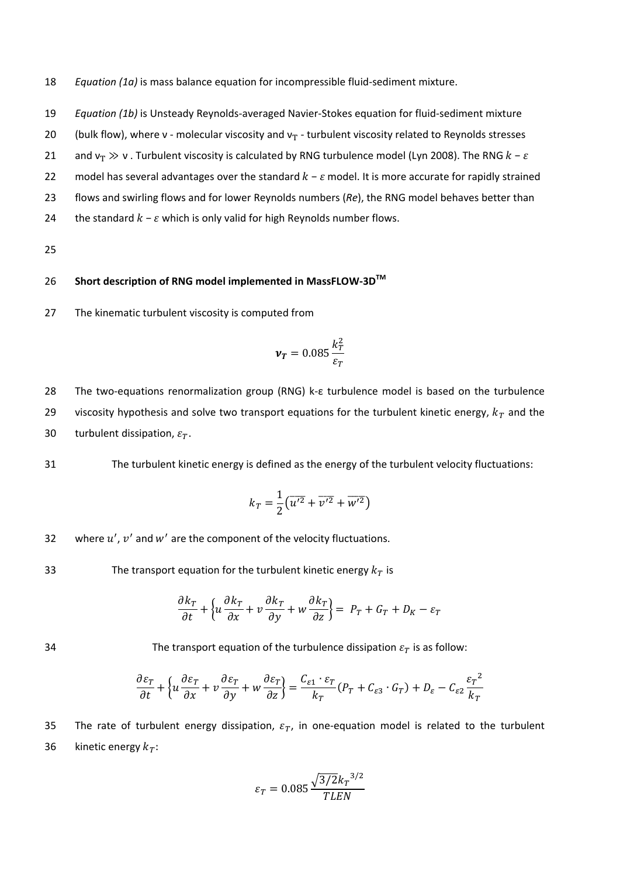18 *Equation (1a)* is mass balance equation for incompressible fluid‐sediment mixture.

- 19 *Equation (1b)* is Unsteady Reynolds‐averaged Navier‐Stokes equation for fluid‐sediment mixture
- 20 (bulk flow), where v molecular viscosity and  $v_T$  turbulent viscosity related to Reynolds stresses
- 21 and  $v_T \gg v$ . Turbulent viscosity is calculated by RNG turbulence model (Lyn 2008). The RNG  $k \varepsilon$
- 22 model has several advantages over the standard  $k \varepsilon$  model. It is more accurate for rapidly strained
- 23 flows and swirling flows and for lower Reynolds numbers (*Re*), the RNG model behaves better than
- 24 the standard  $k \varepsilon$  which is only valid for high Reynolds number flows.
- 25

## **Short description of RNG model implemented in MassFLOW‐3DTM** 26

27 The kinematic turbulent viscosity is computed from

$$
\pmb{\nu_T}=0.085\frac{k_T^2}{\varepsilon_T}
$$

28 The two‐equations renormalization group (RNG) k‐ε turbulence model is based on the turbulence 29 viscosity hypothesis and solve two transport equations for the turbulent kinetic energy,  $k_T$  and the 30 turbulent dissipation,  $\varepsilon_T$ .

31 The turbulent kinetic energy is defined as the energy of the turbulent velocity fluctuations:

$$
k_T = \frac{1}{2} \left( \overline{u'^2} + \overline{v'^2} + \overline{w'^2} \right)
$$

32 where  $u'$ ,  $v'$  and  $w'$  are the component of the velocity fluctuations.

33 The transport equation for the turbulent kinetic energy  $k_T$  is

$$
\frac{\partial k_T}{\partial t} + \left\{ u \frac{\partial k_T}{\partial x} + v \frac{\partial k_T}{\partial y} + w \frac{\partial k_T}{\partial z} \right\} = P_T + G_T + D_K - \varepsilon_T
$$

34 The transport equation of the turbulence dissipation  $\varepsilon_T$  is as follow:

$$
\frac{\partial \varepsilon_T}{\partial t} + \left\{ u \frac{\partial \varepsilon_T}{\partial x} + v \frac{\partial \varepsilon_T}{\partial y} + w \frac{\partial \varepsilon_T}{\partial z} \right\} = \frac{C_{\varepsilon 1} \cdot \varepsilon_T}{k_T} (P_T + C_{\varepsilon 3} \cdot G_T) + D_\varepsilon - C_{\varepsilon 2} \frac{\varepsilon_T^{-2}}{k_T}
$$

35 The rate of turbulent energy dissipation,  $\varepsilon_T$ , in one-equation model is related to the turbulent 36 kinetic energy  $k_T$ :

$$
\varepsilon_T = 0.085 \frac{\sqrt{3/2} k_T^{-3/2}}{TLEN}
$$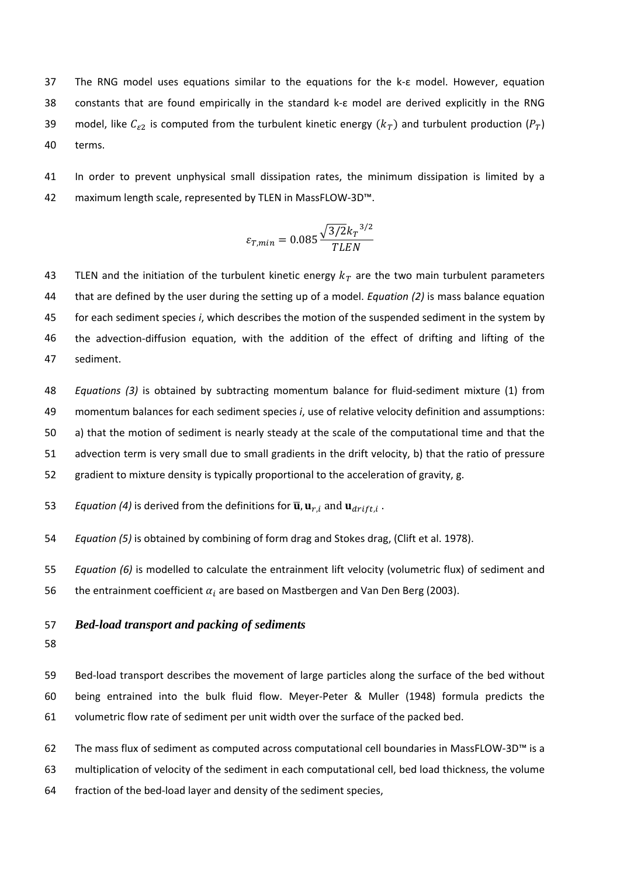The RNG model uses equations similar to the equations for the k‐ε model. However, equation constants that are found empirically in the standard k‐ε model are derived explicitly in the RNG 39 model, like  $C_{\varepsilon 2}$  is computed from the turbulent kinetic energy  $(k_T)$  and turbulent production  $(P_T)$ terms.

 In order to prevent unphysical small dissipation rates, the minimum dissipation is limited by a maximum length scale, represented by TLEN in MassFLOW‐3D™.

$$
\varepsilon_{T,min} = 0.085 \frac{\sqrt{3/2} k_T^{-3/2}}{TLEN}
$$

43 TLEN and the initiation of the turbulent kinetic energy  $k_T$  are the two main turbulent parameters that are defined by the user during the setting up of a model. *Equation (2)* is mass balance equation for each sediment species *i*, which describes the motion of the suspended sediment in the system by 46 the advection-diffusion equation, with the addition of the effect of drifting and lifting of the sediment.

 *Equations (3)* is obtained by subtracting momentum balance for fluid‐sediment mixture (1) from momentum balances for each sediment species *i*, use of relative velocity definition and assumptions: a) that the motion of sediment is nearly steady at the scale of the computational time and that the advection term is very small due to small gradients in the drift velocity, b) that the ratio of pressure gradient to mixture density is typically proportional to the acceleration of gravity, g.

53 Equation (4) is derived from the definitions for 
$$
\overline{\mathbf{u}}
$$
,  $\mathbf{u}_{r,i}$  and  $\mathbf{u}_{drift,i}$ .

*Equation (5)* is obtained by combining of form drag and Stokes drag, (Clift et al. 1978).

 *Equation (6)* is modelled to calculate the entrainment lift velocity (volumetric flux) of sediment and 56 the entrainment coefficient  $\alpha_i$  are based on Mastbergen and Van Den Berg (2003).

## *Bed-load transport and packing of sediments*

59 Bed-load transport describes the movement of large particles along the surface of the bed without being entrained into the bulk fluid flow. Meyer‐Peter & Muller (1948) formula predicts the volumetric flow rate of sediment per unit width over the surface of the packed bed.

 The mass flux of sediment as computed across computational cell boundaries in MassFLOW‐3D™ is a multiplication of velocity of the sediment in each computational cell, bed load thickness, the volume fraction of the bed‐load layer and density of the sediment species,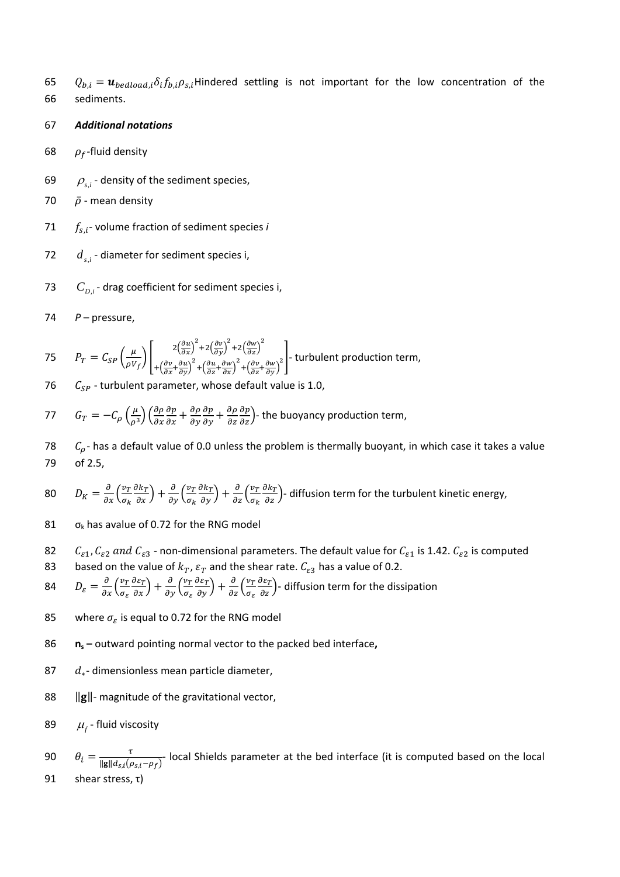- 65  $Q_{b,i} = u_{bedload,i} \delta_i f_{b,i} \rho_{s,i}$ Hindered settling is not important for the low concentration of the 66 sediments.
- 67 *Additional notations*
- 68 ߩ*‐*fluid density
- 69  $\rho_{s,i}$  density of the sediment species,
- 70  $\bar{p}$  mean density
- 71  $f_{s,i}$  volume fraction of sediment species *i*
- 72  $d_{s,i}$  diameter for sediment species i,
- 73  $C_{D,i}$  drag coefficient for sediment species i,
- 74 *P* pressure,

75 
$$
P_T = C_{SP} \left(\frac{\mu}{\rho V_f}\right) \left[\frac{2\left(\frac{\partial u}{\partial x}\right)^2 + 2\left(\frac{\partial v}{\partial y}\right)^2 + 2\left(\frac{\partial w}{\partial z}\right)^2}{+\left(\frac{\partial v}{\partial x} + \frac{\partial u}{\partial y}\right)^2 + \left(\frac{\partial u}{\partial z} + \frac{\partial w}{\partial x}\right)^2 + \left(\frac{\partial v}{\partial z} + \frac{\partial w}{\partial y}\right)^2}\right]
$$
 turbulent production term,

- 76  $C_{SP}$  turbulent parameter, whose default value is 1.0,
- $G_T = -C_\rho \left(\frac{\mu}{\rho^3}\right) \left(\frac{\partial \rho}{\partial x}\right)$  $\frac{\partial p}{\partial x} + \frac{\partial \rho}{\partial y}$  $\frac{\partial p}{\partial y} + \frac{\partial \rho}{\partial z}$ 77  $G_T = -C_\rho \left(\frac{\mu}{\rho^3}\right) \left(\frac{\partial \rho}{\partial x} \frac{\partial p}{\partial x} + \frac{\partial \rho}{\partial y} \frac{\partial p}{\partial y} + \frac{\partial \rho}{\partial z} \frac{\partial p}{\partial z}\right)$ - the buoyancy production term,
- 78  $C_p$  has a default value of 0.0 unless the problem is thermally buoyant, in which case it takes a value 79 of 2.5,
- $D_K = \frac{\partial}{\partial x} \left( \frac{v_T}{\sigma_k} \right)$  $\sigma_k$  $\frac{\partial k_T}{\partial x}$  +  $\frac{\partial}{\partial y}$   $\left(\frac{v_T}{\sigma_k}\right)$  $\sigma_k$  $\frac{\partial k_T}{\partial y}$  +  $\frac{\partial}{\partial z} \left( \frac{v_T}{\sigma_k} \right)$  $\sigma_k$ 80  $D_K = \frac{\partial}{\partial x} \left( \frac{v_T}{\sigma_k} \frac{\partial k_T}{\partial x} \right) + \frac{\partial}{\partial y} \left( \frac{v_T}{\sigma_k} \frac{\partial k_T}{\partial y} \right) + \frac{\partial}{\partial z} \left( \frac{v_T}{\sigma_k} \frac{\partial k_T}{\partial z} \right)$ - diffusion term for the turbulent kinetic energy,
- 81  $\sigma_k$  has avalue of 0.72 for the RNG model
- 82  $C_{\varepsilon 1}$ ,  $C_{\varepsilon 2}$  and  $C_{\varepsilon 3}$  non-dimensional parameters. The default value for  $C_{\varepsilon 1}$  is 1.42.  $C_{\varepsilon 2}$  is computed 83 based on the value of  $k_T$ ,  $\varepsilon_T$  and the shear rate.  $C_{\varepsilon3}$  has a value of 0.2.
- $D_{\varepsilon} = \frac{\partial}{\partial x} \Big( \frac{v_T}{\sigma_{\varepsilon}} \Big)$  $\sigma_{\varepsilon}$  $\frac{\partial \varepsilon_T}{\partial x}$  +  $\frac{\partial}{\partial y}$   $\left(\frac{v_T}{\sigma_{\varepsilon}}\right)$  $\sigma_{\varepsilon}$  $\frac{\partial \varepsilon_T}{\partial y}$  +  $\frac{\partial}{\partial z} \left( \frac{v_T}{\sigma_{\varepsilon}} \right)$  $\sigma_{\varepsilon}$ 84  $D_{\varepsilon} = \frac{\partial}{\partial x} \left( \frac{v_T}{\sigma_{\varepsilon}} \frac{\partial \varepsilon_T}{\partial x} \right) + \frac{\partial}{\partial y} \left( \frac{v_T}{\sigma_{\varepsilon}} \frac{\partial \varepsilon_T}{\partial y} \right) + \frac{\partial}{\partial z} \left( \frac{v_T}{\sigma_{\varepsilon}} \frac{\partial \varepsilon_T}{\partial z} \right)$ - diffusion term for the dissipation
- 85 where  $\sigma_{\varepsilon}$  is equal to 0.72 for the RNG model
- 86 **ns –** outward pointing normal vector to the packed bed interface**,**
- 87  $d_*$  dimensionless mean particle diameter,
- 88 ||g||- magnitude of the gravitational vector,
- 89  $\mu_r$  fluid viscosity
- 90  $\theta_i = \frac{\tau}{\|g\|d_{s,i}(\rho_{s,i}-\rho_f)}$  local Shields parameter at the bed interface (it is computed based on the local 91 shear stress, τ)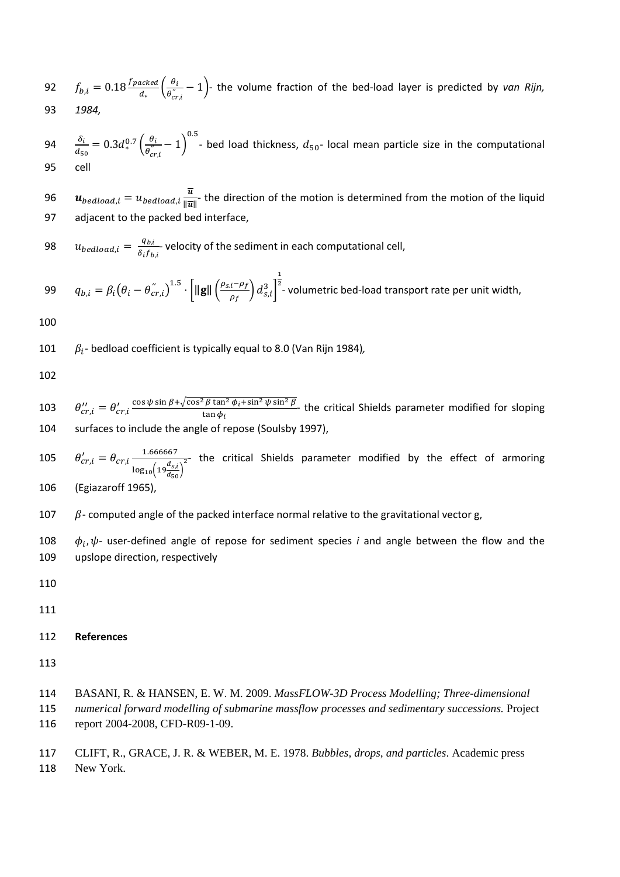92 
$$
f_{b,i} = 0.18 \frac{f_{packet}}{d_*} \left( \frac{\theta_i}{\theta_{cr,i}^{"}} - 1 \right)
$$
 the volume fraction of the bed-load layer is predicted by *van Rijn*,  
93 1984.

 $\delta_i$  $\frac{\delta_i}{d_{50}}=0.3d_*^{0.7}\left(\frac{\theta_i}{\theta_{cri_*}^{''}}-1\right)$  $0.5$  $94 \frac{b_i}{dx} = 0.3d_*^{0.7}(\frac{b_i}{a''}-1)$  - bed load thickness,  $d_{50}$ - local mean particle size in the computational 95 cell

96  $u_{bedload,i}=u_{bedload,i}\frac{\overline{u}}{\|\overline{u}\|}$  the direction of the motion is determined from the motion of the liquid 97 adjacent to the packed bed interface,

 $u_{bedload,i} = \frac{q_{b,i}}{s \cdot f_i}$ 98  $u_{bedload,i} = \frac{q_{b,i}}{\delta_i f_{b,i}}$  velocity of the sediment in each computational cell,

99 
$$
q_{b,i} = \beta_i \left(\theta_i - \theta_{cr,i}^{\prime\prime}\right)^{1.5} \cdot \left[ \|\mathbf{g}\| \left(\frac{\rho_{s,i} - \rho_f}{\rho_f}\right) d_{s,i}^3 \right]^{\frac{1}{2}} \cdot \text{volumetric bed-load transport rate per unit width,}
$$

100

101  $\beta_i$ - bedload coefficient is typically equal to 8.0 (Van Rijn 1984),

102

 $\theta_{cr,i}^{\prime\prime} = \theta_{cr,i}^{\prime} \frac{\cos \psi \sin \beta + \sqrt{\cos^2 \beta \tan^2 \phi_i + \sin^2 \psi \sin^2 \beta}}{\tan \phi_i}$ 103  $\theta_{cr,i}^{\prime\prime} = \theta_{cr,i}^{\prime} \frac{\cos \phi \sin \rho + \sqrt{\cos \rho \tan \phi_{1} \sin \phi \sin \rho}}{\tan \phi_{i}}$  the critical Shields parameter modified for sloping 104 surfaces to include the angle of repose (Soulsby 1997),

 $\theta'_{cr,i} = \theta_{cr,i} \frac{1.666667}{\sqrt{d_{cr}}}$  $\log_{10}\Bigl(19\frac{d_{S,i}}{d_{50}}\Bigr)$ 105  $\theta'_{cri} = \theta_{cri} \frac{1.000007}{(d_0)^2}$  the critical Shields parameter modified by the effect of armoring

106 (Egiazaroff 1965),

107  $\beta$ - computed angle of the packed interface normal relative to the gravitational vector g,

108  $\phi_i, \psi$ - user-defined angle of repose for sediment species *i* and angle between the flow and the 109 upslope direction, respectively

110

111

112 **References**

113

- 114 BASANI, R. & HANSEN, E. W. M. 2009. *MassFLOW-3D Process Modelling; Three-dimensional*
- 115 *numerical forward modelling of submarine massflow processes and sedimentary successions.* Project 116 report 2004-2008, CFD-R09-1-09.

117 CLIFT, R., GRACE, J. R. & WEBER, M. E. 1978. *Bubbles, drops, and particles*. Academic press 118 New York.